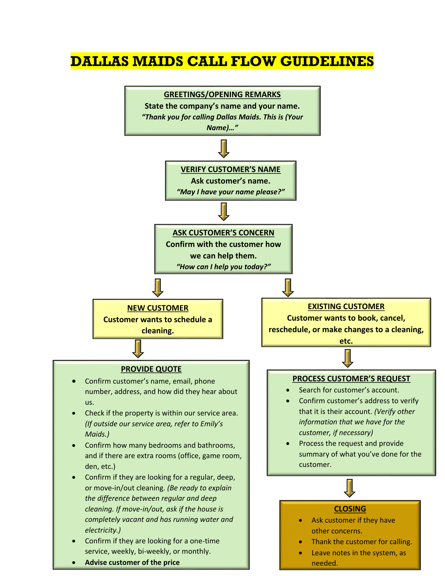## **DALLAS MAIDS CALL FLOW GUIDELINES**